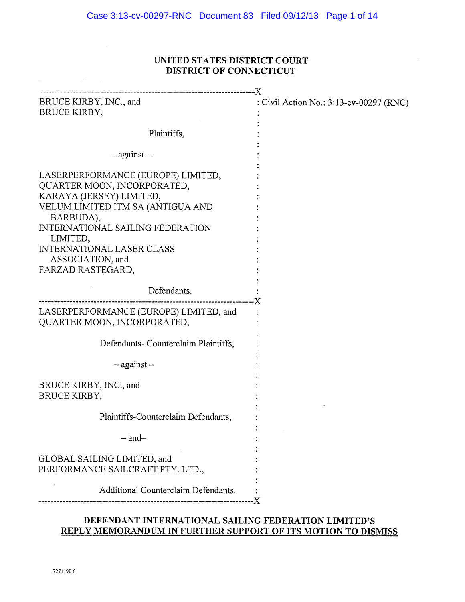# UNITED STATES DISTRICT COURT DISTRICT OF CONNECTICUT

| BRUCE KIRBY, INC., and<br>BRUCE KIRBY,                                                                                                                                                                                                                                              | : Civil Action No.: 3:13-cv-00297 (RNC) |
|-------------------------------------------------------------------------------------------------------------------------------------------------------------------------------------------------------------------------------------------------------------------------------------|-----------------------------------------|
| Plaintiffs,                                                                                                                                                                                                                                                                         |                                         |
| $-$ against $-$                                                                                                                                                                                                                                                                     |                                         |
| LASERPERFORMANCE (EUROPE) LIMITED,<br>QUARTER MOON, INCORPORATED,<br>KARAYA (JERSEY) LIMITED,<br>VELUM LIMITED ITM SA (ANTIGUA AND<br>BARBUDA),<br><b>INTERNATIONAL SAILING FEDERATION</b><br>LIMITED,<br><b>INTERNATIONAL LASER CLASS</b><br>ASSOCIATION, and<br>FARZAD RASTEGARD, |                                         |
| Defendants.                                                                                                                                                                                                                                                                         |                                         |
| LASERPERFORMANCE (EUROPE) LIMITED, and<br>QUARTER MOON, INCORPORATED,                                                                                                                                                                                                               |                                         |
| Defendants- Counterclaim Plaintiffs,                                                                                                                                                                                                                                                |                                         |
| $-$ against $-$                                                                                                                                                                                                                                                                     |                                         |
| BRUCE KIRBY, INC., and<br>BRUCE KIRBY,                                                                                                                                                                                                                                              |                                         |
| Plaintiffs-Counterclaim Defendants,                                                                                                                                                                                                                                                 |                                         |
| $-$ and $-$                                                                                                                                                                                                                                                                         |                                         |
| GLOBAL SAILING LIMITED, and<br>PERFORMANCE SAILCRAFT PTY. LTD.,                                                                                                                                                                                                                     |                                         |
| Additional Counterclaim Defendants.                                                                                                                                                                                                                                                 |                                         |
|                                                                                                                                                                                                                                                                                     | -- X                                    |

# DEFENDANT INTERNATIONAL SAILING FEDERATION LIMITED'S REPLY MEMORANDUM IN FURTHER SUPPORT OF ITS MOTION TO DISMISS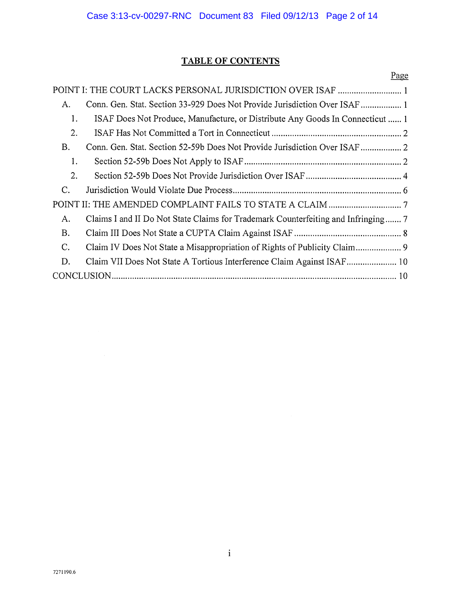# TABLE OF CONTENTS

|           | Page                                                                          |  |
|-----------|-------------------------------------------------------------------------------|--|
|           |                                                                               |  |
| A.        | Conn. Gen. Stat. Section 33-929 Does Not Provide Jurisdiction Over ISAF       |  |
| 1.        | ISAF Does Not Produce, Manufacture, or Distribute Any Goods In Connecticut  1 |  |
| 2.        |                                                                               |  |
| B.        |                                                                               |  |
| 1.        |                                                                               |  |
| 2.        |                                                                               |  |
| C.        |                                                                               |  |
|           |                                                                               |  |
| A.        |                                                                               |  |
| <b>B.</b> |                                                                               |  |
| C.        |                                                                               |  |
| D.        |                                                                               |  |
|           |                                                                               |  |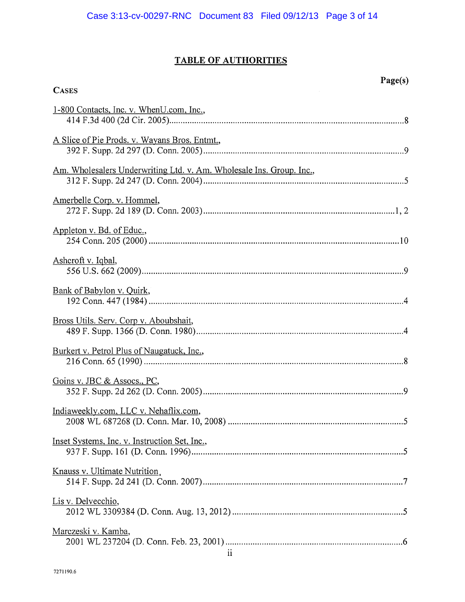# TABLE OF AUTHORITIES

| <b>CASES</b>                                                         |
|----------------------------------------------------------------------|
| 1-800 Contacts, Inc. v. WhenU.com, Inc.,                             |
| A Slice of Pie Prods. v. Wayans Bros. Entmt.,                        |
| Am. Wholesalers Underwriting Ltd. v. Am. Wholesale Ins. Group. Inc., |
| Amerbelle Corp. v. Hommel,                                           |
| Appleton v. Bd. of Educ.,                                            |
| Ashcroft v. Iqbal,                                                   |
| Bank of Babylon v. Quirk,                                            |
| Bross Utils. Serv. Corp v. Aboubshait,                               |
| Burkert v. Petrol Plus of Naugatuck, Inc.,                           |
| Goins v. JBC & Assocs., PC,                                          |
| Indiaweekly.com, LLC v. Nehaflix.com,                                |
| Inset Systems, Inc. v. Instruction Set, Inc.,                        |
| Knauss v. Ultimate Nutrition.                                        |
| Lis v. Delvecchio,                                                   |
| Marczeski v. Kamba,<br>$\mathbf{ii}$                                 |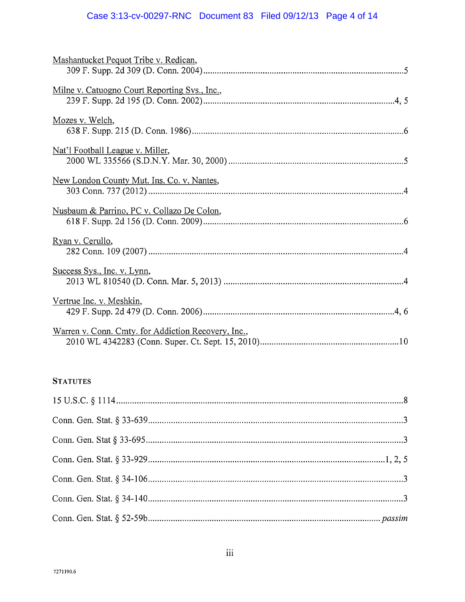# Case 3:13-cv-00297-RNC Document 83 Filed 09/12/13 Page 4 of 14

| Mashantucket Pequot Tribe v. Redican,               |
|-----------------------------------------------------|
| Milne v. Catuogno Court Reporting Svs., Inc.,       |
| Mozes v. Welch,                                     |
| Nat'l Football League v. Miller,                    |
| New London County Mut. Ins. Co. v. Nantes,          |
| Nusbaum & Parrino, PC v. Collazo De Colon,          |
| Ryan v. Cerullo,                                    |
| Success Sys., Inc. v. Lynn,                         |
| Vertrue Inc. v. Meshkin,                            |
| Warren v. Conn. Cmty. for Addiction Recovery, Inc., |

# **STATUTES**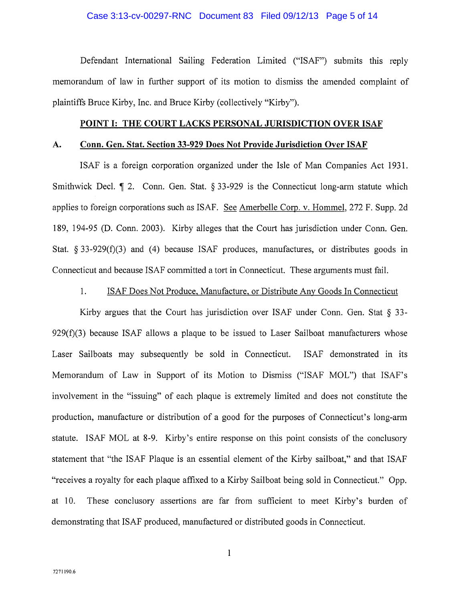#### Case 3:13-cv-00297-RNC Document 83 Filed 09/12/13 Page 5 of 14

Defendant International Sailing Federation Limited ("ISAF") submits this reply memorandum of law in further support of its motion to dismiss the amended complaint of plaintiffs Bruce Kirby, Inc. and Bruce Kirby (collectively "Kirby").

#### POINT I: THE COURT LACKS PERSONAL JURISDICTION OVER ISAF

#### A. Conn. Gen. Stat. Section 33-929 Does Not Provide Jurisdiction Over ISAF

ISAF is a foreign corporation organized under the Isle of Man Companies Act 1931. Smithwick Decl.  $\parallel$  2. Conn. Gen. Stat. § 33-929 is the Connecticut long-arm statute which applies to foreign corporations such as ISAF. See Amerbelle Corp. v. Hommel, 272 F. Supp. 2d 189, 194-95 (D. Conn. 2003). Kirby alleges that the Court has jurisdiction under Conn. Gen. Stat.  $\S 33-929(f)(3)$  and (4) because ISAF produces, manufactures, or distributes goods in Connecticut and because ISAF committed a tort in Connecticut. These arguments must fail.

### 1. ISAF Does Not Produce, Manufacture, or Distribute Any Goods In Connecticut

Kirby argues that the Court has jurisdiction over ISAF under Conn. Gen. Stat  $\S$  33- $929(f)(3)$  because ISAF allows a plaque to be issued to Laser Sailboat manufacturers whose Laser Sailboats may subsequently be sold in Connecticut. ISAF demonstrated in its Memorandum of Law in Support of its Motion to Dismiss ("ISAF MOL") that ISAF's involvement in the "issuing" of each plaque is extremely limited and does not constitute the production, manufacture or distribution of a good for the purposes of Connecticut's long-arm statute. ISAF MOL at 8-9. Kirby's entire response on this point consists of the conclusory statement that "the ISAF Plaque is an essential element of the Kirby sailboat," and that ISAF "receives a royalty for each plaque affixed to a Kirby Sailboat being sold in Connecticut." Opp. at 10. These conclusory assertions are far from sufficient to meet Kirby's burden of demonstrating that ISAF produced, manufactured or distributed goods in Connecticut.

1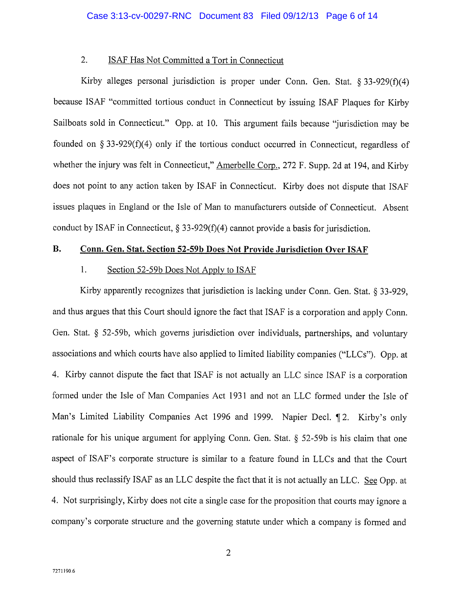### 2. ISAF Has Not Committed a Tort in Connecticut

Kirby alleges personal jurisdiction is proper under Conn. Gen. Stat.  $\S 33-929(f)(4)$ because ISAF "committed tortious conduct in Connecticut by issuing ISAF Plaques for Kirby Sailboats sold in Connecticut." Opp. at 10. This argument fails because "jurisdiction may be founded on § 33-929 $(f)(4)$  only if the tortious conduct occurred in Connecticut, regardless of whether the injury was felt in Connecticut," Amerbelle Corp., 272 F. Supp. 2d at 194, and Kirby does not point to any action taken by ISAF in Connecticut. Kirby does not dispute that ISAF issues plaques in England or the Isle of Man to manufacturers outside of Connecticut. Absent conduct by ISAF in Connecticut,  $\S 33-929(f)(4)$  cannot provide a basis for jurisdiction.

## B. Conn. Gen. Stat. Section 52-59b Does Not Provide Jurisdiction Over ISAF

### 1. Section 52-59b Does Not Apply to ISAF

Kirby apparently recognizes that jurisdiction is lacking under Conn. Gen. Stat. § 33-929, and thus argues that this Court should ignore the fact that ISAF is a corporation and apply Conn. Gen. Stat. § 52-59b, which governs jurisdiction over individuals, partnerships, and voluntary associations and which courts have also applied to limited liability companies ("LLCs"). Opp. at 4. Kirby cannot dispute the fact that ISAF is not actually an LLC since ISAF is a corporation formed under the Isle of Man Companies Act 1931 and not an LLC formed under the Isle of Man's Limited Liability Companies Act 1996 and 1999. Napier Decl. ¶ 2. Kirby's only rationale for his unique argument for applying Conn. Gen. Stat. § 52-59b is his claim that one aspect of ISAF's corporate structure is similar to a feature found in LLCs and that the Court should thus reclassify ISAF as an LLC despite the fact that it is not actually an LLC. See Opp. at 4. Not surprisingly, Kirby does not cite a single case for the proposition that courts may ignore a company's corporate structure and the governing statute under which a company is formed and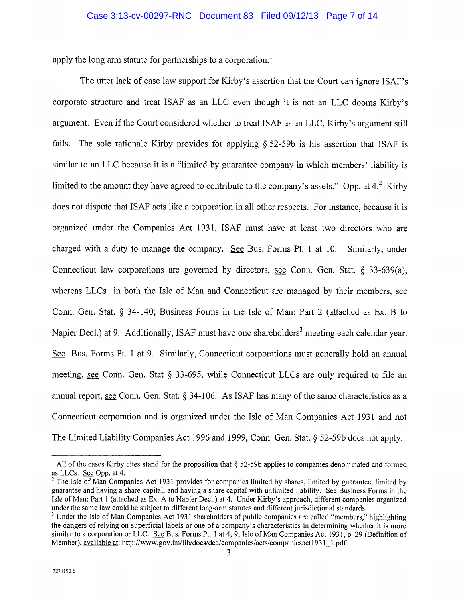apply the long arm statute for partnerships to a corporation.<sup>1</sup>

The utter lack of case law support for Kirby's assertion that the Court can ignore ISAF's corporate structure and treat ISAF as an LLC even though it is not an LLC dooms Kirby's argument. Even if the Court considered whether to treat ISAF as an LLC, Kirby's argument still fails. The sole rationale Kirby provides for applying § 52-59b is his assertion that ISAF is similar to an LLC because it is a "limited by guarantee company in which members' liability is limited to the amount they have agreed to contribute to the company's assets." Opp. at  $4.^2$  Kirby does not dispute that ISAF acts like a corporation in all other respects. For instance, because it is organized under the Companies Act 1931, ISAF must have at least two directors who are charged with a duty to manage the company. See Bus. Forms Pt. 1 at  $10$ . Similarly, under Connecticut law corporations are governed by directors, see Conn. Gen. Stat. § 33-639(a), whereas LLCs in both the Isle of Man and Connecticut are managed by their members, see Conn. Gen. Stat. § 34-140; Business Forms in the Isle of Man: Part 2 (attached as Ex. B to Connecticut law corporations are governed by directors, <u>see</u> Conn. Gen. Stat. § 33-639(a), whereas LLCs in both the Isle of Man and Connecticut are managed by their members, <u>see</u> Conn. Gen. Stat. § 34-140; Business Forms See Bus. Forms Pt. <sup>1</sup> at 9. Similarly, Connecticut corporations must generally hold an annual meeting, see Conn. Gen. Stat § 33-695, while Connecticut LLCs are only required to file an annual report, see Conn. Gen. Stat. § 34-106. As ISAF has many ofthe same characteristics as a Connecticut corporation and is organized under the Isle of Man Companies Act 1931 and not The Limited Liability Companies Act 1996 and 1999, Conn. Gen. Stat. § 52-59b does not apply.

<sup>&</sup>lt;sup>1</sup> All of the cases Kirby cites stand for the proposition that  $\S$  52-59b applies to companies denominated and formed as LLCs. See Opp. at 4.

<sup>&</sup>lt;sup>2</sup> The Isle of Man Companies Act 1931 provides for companies limited by shares, limited by guarantee, limited by guarantee and having a share capital, and having a share capital with unlimited liability. See Business Forms in the isle of Man: Part <sup>1</sup> (attached as Ex. A to Napier Decl.) at 4. Under Kirby's approach, different companies organized under the same law could be subject to different long-arm statutes and different jurisdictional standards.

<sup>&</sup>lt;sup>3</sup> Under the Isle of Man Companies Act 1931 shareholders of public companies are called "members," highlighting the dangers of relying on superficial labels or one of a company's characteristics in determining whether it is more similar to a corporation or LLC. See Bus. Forms Pt. 1 at 4, 9; Isle of Man Companies Act 1931, p. 29 (Definition of Member), available at: http://www.gov.im/lib/docs/ded/companies/acts/companiesact1931\_1.pdf.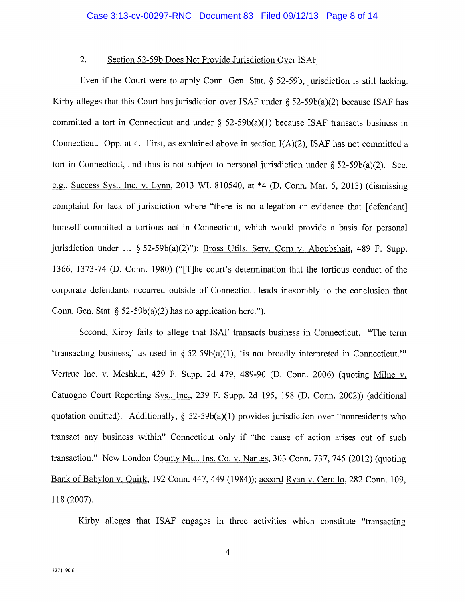### 2. Section 52-59b Does Not Provide Jurisdiction Over ISAF

Even if the Court were to apply Conn. Gen. Stat. § 52-59b, jurisdiction is still lacking. Kirby alleges that this Court has jurisdiction over ISAF under  $\S 52-59b(a)(2)$  because ISAF has committed a tort in Connecticut and under § 52-59b(a)(1) because ISAF transacts business in Connecticut. Opp. at 4. First, as explained above in section I(A)(2), ISAF has not committed a tort in Connecticut, and thus is not subject to personal jurisdiction under  $\S 52-59b(a)(2)$ . See, g, Success Sys.. Inc. v. Lynn, <sup>2013</sup> WL 810540, at \*4 (D. Conn. Mar. 5, 2013) (dismissing complaint for lack of jurisdiction where "there is no allegation or evidence that [defendant] himself committed a tortious act in Connecticut, which would provide a basis for personal jurisdiction under ... § 52-59b(a)(2)"); Bross Utils. Serv. Corp v. Aboubshait, 489 F. Supp. 1366, 1373-74 (D. Conn. 1980) ("[T]he court's determination that the tortious conduct of the corporate defendants occurred outside of Connecticut leads inexorably to the conclusion that Conn. Gen. Stat.  $\S 52-59b(a)(2)$  has no application here.").

Second, Kirby fails to allege that ISAF transacts business in Connecticut. "The term 'transacting business,' as used in § 52-59b(a)(l), 'is not broadly interpreted in Connecticut." Vertrue Inc. v. Meshkin, 429 F. Supp. 2d 479, 489-90 (D. Conn. 2006) (quoting Milne v. Catuogno Court Reporting Svs., Inc., 239 F. Supp. 2d 195, 198 (D. Conn. 2002)) (additional quotation omitted). Additionally,  $\S$  52-59b(a)(1) provides jurisdiction over "nonresidents who transact any business within" Connecticut only if "the cause of action arises out of such transaction." New London County Mut. Ins. Co. v. Nantes, 303 Conn. 737, 745 (2012) (quoting Bank of Babylon v. Quirk, 192 Conn. 447, 449 (1984)); accord Ryan v. Cerullo, 282 Conn. 109, 118 (2007).

Kirby alleges that ISAF engages in three activities which constitute "transacting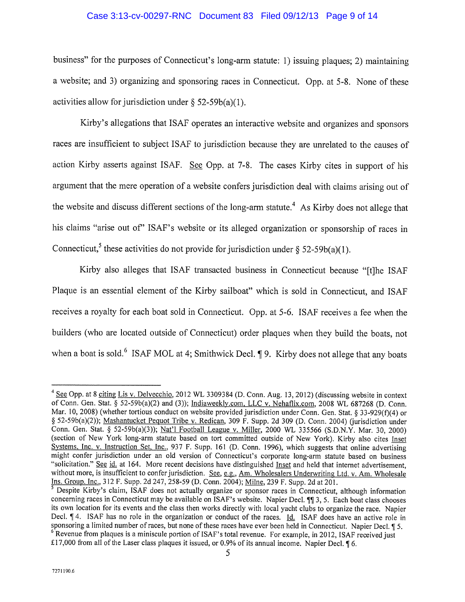#### Case 3:13-cv-00297-RNC Document 83 Filed 09/12/13 Page 9 of 14

business" for the purposes of Connecticut's long-arm statute: 1) issuing plaques; 2) maintaining a website; and 3) organizing and sponsoring races in Connecticut. Opp. at 5-8. None of these activities allow for jurisdiction under  $\S$  52-59b(a)(1).

Kirby's allegations that ISAF operates an interactive website and organizes and sponsors races are insufficient to subject ISAF to jurisdiction because they are unrelated to the causes of action Kirby asserts against ISAF. See Opp. at 7-8. The cases Kirby cites in support of his argument that the mere operation of a website confers jurisdiction deal with claims arising out of are a supported in the website and discuss different sections of the long-arm statute.<sup>4</sup> As Kirby does not allege that the website and discuss different sections of the long-arm statute.<sup>4</sup> As Kirby does not allege that his claims "arise out of' ISAF's website or its alleged organization or sponsorship of races in argument that the mere operation of a website confers jurisdiction deal with claim<br>the website and discuss different sections of the long-arm statute.<sup>4</sup> As Kirby doe<br>his claims "arise out of" ISAF's website or its allege

Kirby also alleges that ISAF transacted business in Connecticut because "[t]he ISAF Plaque is an essential element of the Kirby sailboat" which is sold in Connecticut, and ISAF receives a royalty for each boat sold in Connecticut. Opp. at 5-6. ISAF receives a fee when the builders (who are located outside of Connecticut) order plaques when they build the boats, not when a boat is sold.<sup>6</sup> ISAF MOL at 4; Smithwick Decl. ¶ 9. Kirby does not allege that any boats

<sup>&</sup>lt;sup>4</sup> See Opp. at 8 citing Lis v. Delvecchio, 2012 WL 3309384 (D. Conn. Aug. 13, 2012) (discussing website in context of Conn. Gen. Stat. § 52-59b(a)(2) and (3)); Indiaweekly.com, LLC v. Nehaflix.com, 2008 WL 687268 (D. Conn. Mar. 10, 2008) (whether tortious conduct on website provided jurisdiction under Conn. Gen. Stat. § 33-929(f)(4) or § 52-59b(a)(2)); Mashantucket Pequot Tribe v. Redican, 309 F. Supp. 2d 309 (D. Conn. 2004) (jurisdiction under Conn. Gen. Stat. § 52-59b(a)(3)); Nat'I Football League v. Miller, 2000 WL 335566 (S.D.N.Y. Mar. 30, 2000) (section of New York long-arm statute based on tort committed outside of New York). Kirby also cites Inset Systems, Inc. v. Instruction Set, Inc., 937 F. Supp. 161 (D. Conn. 1996), which suggests that online advertising Systems, Inc. V. Instruction Set, Inc., 937 F. Supp. 161 (D. Conn. 1996), which suggests that online advertising might confer jurisdiction under an old version of Connecticut's corporate long-arm statute based on business without more, is insufficient to confer jurisdiction. See, e.g., Am. Wholesalers Underwriting Ltd. v. Am. Wholesale Ins. Group. Inc., 312 F. Supp. 2d 247, 258-59 (D. Conn. 2004); Milne, 239 F. Supp. 2d at 201.

Despite Kirby's claim, ISAF does not actually organize or sponsor races in Connecticut, although information concerning races in Connecticut may be available on ISAF's website. Napier Decl. ¶¶ 3, 5. Each boat class chooses its own location for its events and the class then works directly with local yacht clubs to organize the race. Napier Decl. ¶ 4. ISAF has no role in the organization or conduct of the races. <u>Id.</u> ISAF does have an active role in sponsoring a limited number of races, but none of these races have ever been held in Connecticut. Napier Decl.  $6$  Revenue from plaques is a miniscule portion of ISAF's total revenue. For example, in 2012, ISAF received just £17,000 from all of the Laser class plaques it issued, or 0.9% of its annual income. Napier DecI. ¶ 6.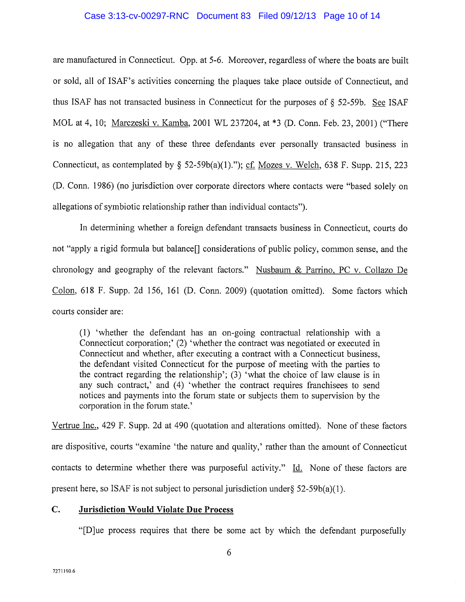#### Case 3:13-cv-00297-RNC Document 83 Filed 09/12/13 Page 10 of 14

are manufactured in Connecticut. Opp. at 5-6. Moreover, regardless of where the boats are built or sold, all of ISAF's activities concerning the plaques take place outside of Connecticut, and thus ISAF has not transacted business in Connecticut for the purposes of  $\S$  52-59b. See ISAF MOL at 4, 10; Marczeski v. Kamba, 2001 WL 237204, at \*3 (D. Conn. Feb. 23, 2001) ("There is no allegation that any of these three defendants ever personally transacted business in Connecticut, as contemplated by  $\S$  52-59b(a)(1)."); cf. Mozes v. Welch, 638 F. Supp. 215, 223 (D. Conn. 1986) (no jurisdiction over corporate directors where contacts were "based solely on allegations of symbiotic relationship rather than individual contacts").

In determining whether a foreign defendant transacts business in Connecticut, courts do not "apply a rigid formula but balance<sup>[]</sup> considerations of public policy, common sense, and the chronology and geography of the relevant factors." Nusbaum & Parrino, PC v. Collazo De Colon, 618 F. Supp. 2d 156, 161 (D. Conn. 2009) (quotation omitted). Some factors which courts consider are:

(1) 'whether the defendant has an on-going contractual relationship with a Connecticut corporation;' (2) 'whether the contract was negotiated or executed in Connecticut and whether, after executing a contract with a Connecticut business, the defendant visited Connecticut for the purpose of meeting with the parties to the contract regarding the relationship'; (3) 'what the choice of law clause is in any such contract,' and (4) 'whether the contract requires franchisees to send notices and payments into the forum state or subjects them to supervision by the corporation in the forum state.'

Vertrue Inc., 429 F. Supp. 2d at 490 (quotation and alterations omitted). None of these factors are dispositive, courts "examine 'the nature and quality,' rather than the amount of Connecticut contacts to determine whether there was purposeful activity."  $Id.$  None of these factors are present here, so ISAF is not subject to personal jurisdiction under  $\S$  52-59b(a)(1).

## C. Jurisdiction Would Violate Due Process

"[D]ue process requires that there be some act by which the defendant purposefully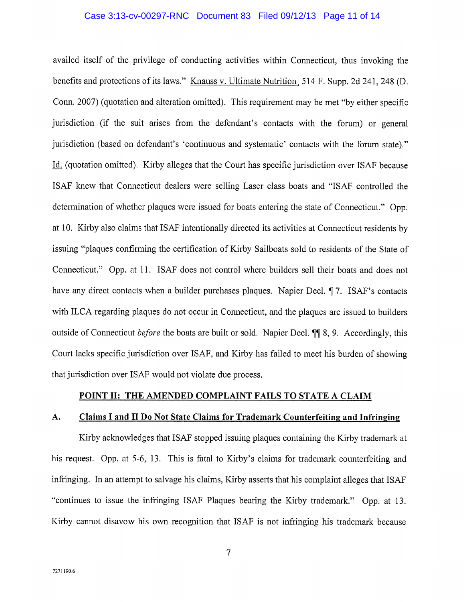#### Case 3:13-cv-00297-RNC Document 83 Filed 09/12/13 Page 11 of 14

availed itself of the privilege of conducting activities within Connecticut, thus invoking the benefits and protections of its laws." Knauss v. Ultimate Nutrition 514 F. Supp. 2d 241, 248 (D. Conn. 2007) (quotation and alteration omitted). This requirement may be met "by either specific jurisdiction (if the suit arises from the defendant's contacts with the forum) or general jurisdiction (based on defendant's 'continuous and systematic' contacts with the forum state)." Id. (quotation omitted). Kirby alleges that the Court has specific jurisdiction over ISAF because ISAF knew that Connecticut dealers were selling Laser class boats and "ISAF controlled the determination of whether plaques were issued for boats entering the state of Connecticut." Opp. at 10. Kirby also claims that ISAF intentionally directed its activities at Connecticut residents by issuing "plaques confirming the certification of Kirby Sailboats sold to residents of the State of Connecticut." Opp. at 11. ISAF does not control where builders sell their boats and does not have any direct contacts when a builder purchases plaques. Napier Decl. ¶ 7. ISAF's contacts with ILCA regarding plaques do not occur in Connecticut, and the plaques are issued to builders outside of Connecticut *before* the boats are built or sold. Napier Decl. ¶ 8, 9. Accordingly, this Court lacks specific jurisdiction over ISAF, and Kirby has failed to meet his burden of showing that jurisdiction over ISAF would not violate due process.

#### POINT II: THE AMENDED COMPLAINT FAILS TO STATE A CLAIM

#### A. Claims I and II Do Not State Claims for Trademark Counterfeiting and Infringing

Kirby acknowledges that ISAF stopped issuing plaques containing the Kirby trademark at his request. Opp. at 5-6, 13. This is fatal to Kirby's claims for trademark counterfeiting and infringing. In an attempt to salvage his claims, Kirby asserts that his complaint alleges that ISAF "continues to issue the infringing ISAF Plaques bearing the Kirby trademark." Opp. at 13. Kirby cannot disavow his own recognition that ISAF is not infringing his trademark because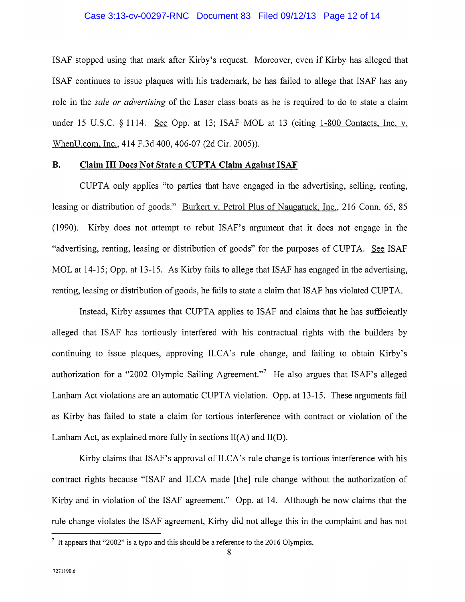#### Case 3:13-cv-00297-RNC Document 83 Filed 09/12/13 Page 12 of 14

ISAF stopped using that mark afier Kirby's request. Moreover, even if Kirby has alleged that ISAF continues to issue plaques with his trademark, he has failed to allege that ISAF has any role in the *sale or advertising* of the Laser class boats as he is required to do to state a claim under 15 U.S.C.  $\S$  1114. See Opp. at 13; ISAF MOL at 13 (citing 1-800 Contacts, Inc. v. WhenU.com, Inc., 414 F.3d 400, 406-07 (2d Cir. 2005)).

### B. Claim III Does Not State a CUPTA Claim Against ISAF

CUPTA only applies "to parties that have engaged in the advertising, selling, renting, leasing or distribution of goods." Burkert v. Petrol Plus of Naugatuck, Inc., 216 Conn. 65, 85 (1990). Kirby does not attempt to rebut ISAF's argument that it does not engage in the "advertising, renting, leasing or distribution of goods" for the purposes of CUPTA. See ISAF MOL at 14-15; Opp. at 13-15. As Kirby fails to allege that ISAF has engaged in the advertising, renting, leasing or distribution of goods, he fails to state a claim that ISAF has violated CUPTA.

Instead, Kirby assumes that CUPTA applies to ISAF and claims that he has sufficiently alleged that ISAF has tortiously interfered with his contractual rights with the builders by continuing to issue plaques, approving ILCA's rule change, and failing to obtain Kirby's authorization for a "2002 Olympic Sailing Agreement."<sup>7</sup> He also argues that ISAF's alleged Lanham Act violations are an automatic CUPTA violation. Opp. at 13-15. These arguments fail as Kirby has failed to state a claim for tortious interference with contract or violation of the Lanham Act, as explained more fully in sections  $II(A)$  and  $II(D)$ .

Kirby claims that ISAF's approval of ILCA's rule change is tortious interference with his contract rights because "ISAF and ILCA made [the] rule change without the authorization of Kirby and in violation of the ISAF agreement." Opp. at 14. Although he now claims that the rule change violates the ISAF agreement, Kirby did not allege this in the complaint and has not

 $\frac{7}{1}$  It appears that "2002" is a typo and this should be a reference to the 2016 Olympics.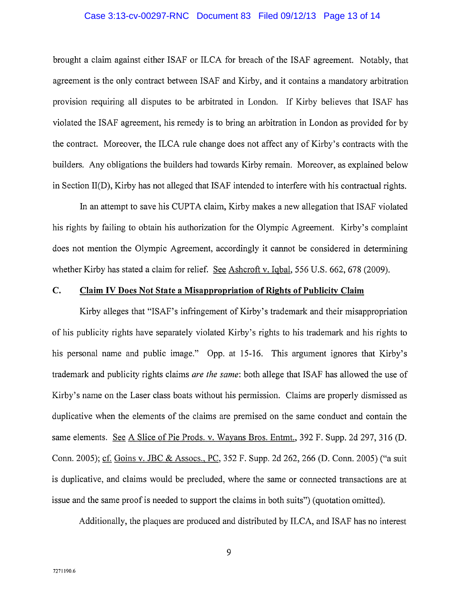#### Case 3:13-cv-00297-RNC Document 83 Filed 09/12/13 Page 13 of 14

brought a claim against either ISAF or ILCA for breach of the ISAF agreement. Notably, that agreement is the only contract between ISAF and Kirby, and it contains a mandatory arbitration provision requiring all disputes to be arbitrated in London. If Kirby believes that ISAF has violated the ISAF agreement, his remedy is to bring an arbitration in London as provided for by the contract. Moreover, the ILCA rule change does not affect any of Kirby's contracts with the builders. Any obligations the builders had towards Kirby remain. Moreover, as explained below in Section 11(D), Kirby has not alleged that ISAF intended to interfere with his contractual rights.

In an attempt to save his CUPTA claim, Kirby makes a new allegation that ISAF violated his rights by failing to obtain his authorization for the Olympic Agreement. Kirby's complaint does not mention the Olympic Agreement, accordingly it cannot be considered in determining whether Kirby has stated a claim for relief. See Ashcroft v. Iqbal, 556 U.S. 662, 678 (2009).

## C. Claim IV Does Not State a Misappropriation of Rights of Publicity Claim

Kirby alleges that "ISAF's infringement of Kirby's trademark and their misappropriation of his publicity rights have separately violated Kirby's rights to his trademark and his rights to his personal name and public image." Opp. at 15-16. This argument ignores that Kirby's trademark and publicity rights claims are the same: both allege that ISAF has allowed the use of Kirby's name on the Laser class boats without his permission. Claims are properly dismissed as duplicative when the elements of the claims are premised on the same conduct and contain the same elements. See A Slice of Pie Prods. v. Wayans Bros. Entmt., 392 F. Supp. 2d 297, 316 (D. Conn. 2005); cf. Goins v. JBC & Assocs., PC, 352 F. Supp. 2d 262, 266 (D. Conn. 2005) ("a suit is duplicative, and claims would be precluded, where the same or connected transactions are at issue and the same proof is needed to support the claims in both suits") (quotation omitted).

Additionally, the plaques are produced and distributed by ILCA, and ISAF has no interest

9